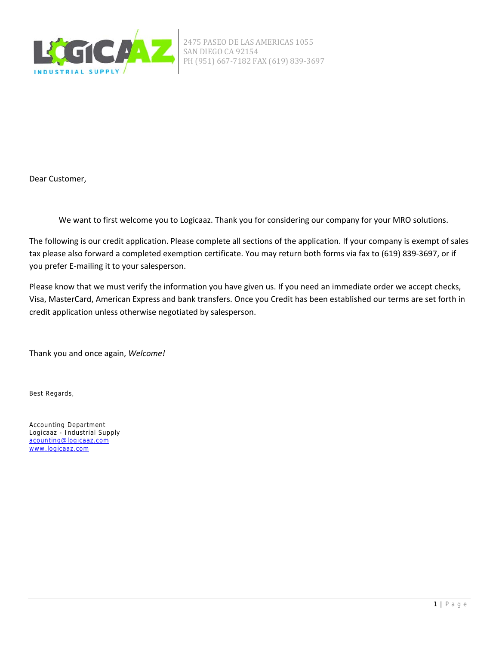

2475 PASEO DE LAS AMERICAS 1055 SAN DIEGO CA 92154 PH (951) 667-7182 FAX (619) 839-3697

Dear Customer,

We want to first welcome you to Logicaaz. Thank you for considering our company for your MRO solutions.

The following is our credit application. Please complete all sections of the application. If your company is exempt of sales tax please also forward a completed exemption certificate. You may return both forms via fax to (619) 839-3697, or if you prefer E‐mailing it to your salesperson.

Please know that we must verify the information you have given us. If you need an immediate order we accept checks, Visa, MasterCard, American Express and bank transfers. Once you Credit has been established our terms are set forth in credit application unless otherwise negotiated by salesperson.

Thank you and once again, *Welcome!*

Best Regards,

Accounting Department Logicaaz - Industrial Supply acounting@logicaaz.com www.logicaaz.com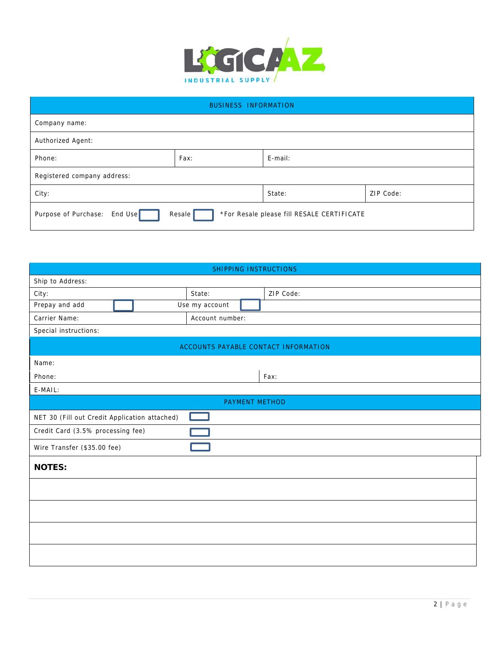

| <b>BUSINESS INFORMATION</b>                                                          |      |         |           |
|--------------------------------------------------------------------------------------|------|---------|-----------|
| Company name:                                                                        |      |         |           |
| Authorized Agent:                                                                    |      |         |           |
| Phone:                                                                               | Fax: | E-mail: |           |
| Registered company address:                                                          |      |         |           |
| City:                                                                                |      | State:  | ZIP Code: |
| Purpose of Purchase: End Use<br>Resale<br>*For Resale please fill RESALE CERTIFICATE |      |         |           |

| SHIPPING INSTRUCTIONS                         |                       |           |  |  |
|-----------------------------------------------|-----------------------|-----------|--|--|
| Ship to Address:                              |                       |           |  |  |
| City:                                         | State:                | ZIP Code: |  |  |
| Prepay and add                                | Use my account        |           |  |  |
| Account number:<br>Carrier Name:              |                       |           |  |  |
| Special instructions:                         |                       |           |  |  |
| ACCOUNTS PAYABLE CONTACT INFORMATION          |                       |           |  |  |
| Name:                                         |                       |           |  |  |
| Phone:                                        |                       | Fax:      |  |  |
| E-MAIL:                                       |                       |           |  |  |
|                                               | <b>PAYMENT METHOD</b> |           |  |  |
| NET 30 (Fill out Credit Application attached) |                       |           |  |  |
| Credit Card (3.5% processing fee)             |                       |           |  |  |
| Wire Transfer (\$35.00 fee)                   |                       |           |  |  |
| <b>NOTES:</b>                                 |                       |           |  |  |
|                                               |                       |           |  |  |
|                                               |                       |           |  |  |
|                                               |                       |           |  |  |
|                                               |                       |           |  |  |
|                                               |                       |           |  |  |
|                                               |                       |           |  |  |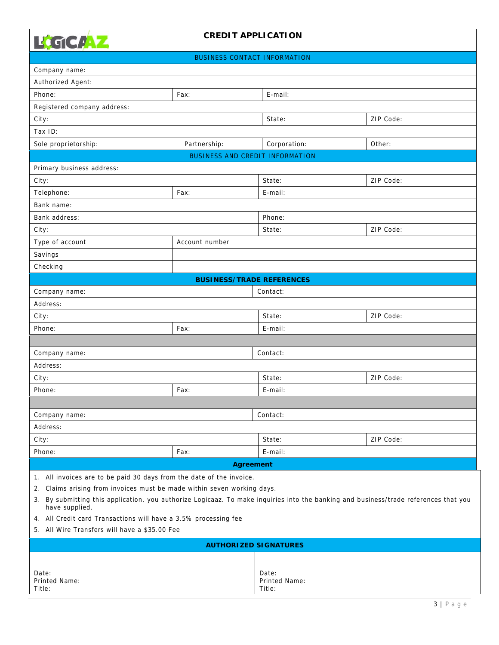

|  | BUSINESS CONTACT INFORMATION |
|--|------------------------------|
|  |                              |

|                                                                                                                                      | <b>BUSINESS CONTACT INFORMATION</b>    |                              |           |
|--------------------------------------------------------------------------------------------------------------------------------------|----------------------------------------|------------------------------|-----------|
| Company name:                                                                                                                        |                                        |                              |           |
| Authorized Agent:                                                                                                                    |                                        |                              |           |
| Phone:                                                                                                                               | Fax:                                   | E-mail:                      |           |
| Registered company address:                                                                                                          |                                        |                              |           |
| City:                                                                                                                                |                                        | State:                       | ZIP Code: |
| Tax ID:                                                                                                                              |                                        |                              |           |
| Sole proprietorship:                                                                                                                 | Partnership:                           | Corporation:                 | Other:    |
|                                                                                                                                      | <b>BUSINESS AND CREDIT INFORMATION</b> |                              |           |
| Primary business address:                                                                                                            |                                        |                              |           |
| City:                                                                                                                                |                                        | State:                       | ZIP Code: |
| Telephone:                                                                                                                           | Fax:                                   | E-mail:                      |           |
| Bank name:                                                                                                                           |                                        |                              |           |
| Bank address:                                                                                                                        |                                        | Phone:                       |           |
| City:                                                                                                                                |                                        | State:                       | ZIP Code: |
| Type of account                                                                                                                      | Account number                         |                              |           |
| Savings                                                                                                                              |                                        |                              |           |
| Checking                                                                                                                             |                                        |                              |           |
|                                                                                                                                      | <b>BUSINESS/TRADE REFERENCES</b>       |                              |           |
| Company name:                                                                                                                        |                                        | Contact:                     |           |
| Address:                                                                                                                             |                                        |                              |           |
| City:                                                                                                                                |                                        | State:                       | ZIP Code: |
| Phone:                                                                                                                               | Fax:                                   | E-mail:                      |           |
|                                                                                                                                      |                                        |                              |           |
| Company name:                                                                                                                        |                                        | Contact:                     |           |
| Address:                                                                                                                             |                                        |                              |           |
| City:                                                                                                                                |                                        | State:                       | ZIP Code: |
| Phone:                                                                                                                               | Fax:                                   | E-mail:                      |           |
|                                                                                                                                      |                                        |                              |           |
| Company name:                                                                                                                        |                                        | Contact:                     |           |
| Address:                                                                                                                             |                                        |                              |           |
| City:                                                                                                                                |                                        | State:                       | ZIP Code: |
| Phone:                                                                                                                               | Fax:                                   | E-mail:                      |           |
|                                                                                                                                      |                                        |                              |           |
| <b>Agreement</b><br>1. All invoices are to be paid 30 days from the date of the invoice.                                             |                                        |                              |           |
| 2. Claims arising from invoices must be made within seven working days.                                                              |                                        |                              |           |
| 3. By submitting this application, you authorize Logicaaz. To make inquiries into the banking and business/trade references that you |                                        |                              |           |
| have supplied.                                                                                                                       |                                        |                              |           |
| 4. All Credit card Transactions will have a 3.5% processing fee<br>5. All Wire Transfers will have a \$35.00 Fee                     |                                        |                              |           |
|                                                                                                                                      |                                        |                              |           |
|                                                                                                                                      |                                        | <b>AUTHORIZED SIGNATURES</b> |           |
|                                                                                                                                      |                                        |                              |           |
| Date:                                                                                                                                |                                        | Date:                        |           |
| Printed Name:<br>Title:                                                                                                              |                                        | Printed Name:<br>Title:      |           |